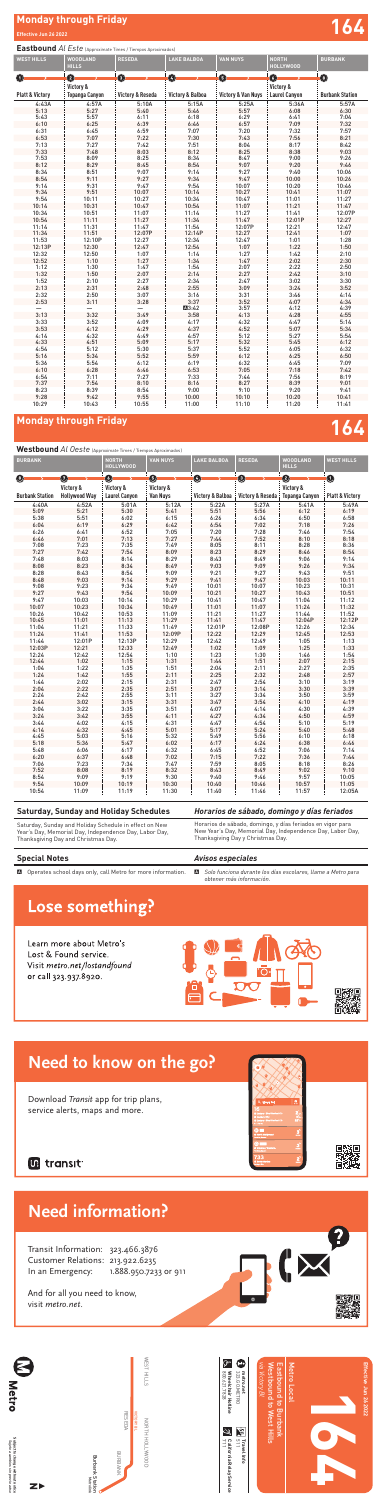# **Monday through Friday 164**

# Westbound *Al Oeste* (Approximate Times / Tiempos Aproximados)

*Avisos especiales*

# Lose something?

Learn more about Metro's Lost & Found service. Visit metro.net/lostandfound or call 323.937.8920.

### A *Solo funciona durante los días escolares, llame a Metro para obtener más información.*

## **Special Notes**

A Operates school days only, call Metro for more information.

# **Monday through Friday and Security Conduct of the Security Conduct of the Security Conduct of the Security Conduct of the Security Conduct of the Security Conduct of the Security Conduct of the Security Conduct of the Sec**

## **Eastbound** *Al Este* (Approximate Times / Tiempos Aproximados)

**C** 71<br>71  $\frac{d}{d}$ 

 $\begin{bmatrix} \textbf{Travel} \\ \textbf{511} \\ \textbf{511} \end{bmatrix}$ **Travel Info**

| $\bullet$<br>$\bullet$<br>$\boldsymbol{\Theta}$<br>$\bullet$<br>0<br>O<br>O<br>Victory &<br>Victory &<br><b>Burbank Station</b><br><b>Platt &amp; Victory</b><br><b>Topanga Canyon</b><br><b>Victory &amp; Reseda</b><br><b>Victory &amp; Balboa</b><br><b>Victory &amp; Van Nuys</b><br><b>Laurel Canyon</b><br>4:57A<br>5:10A<br>5:15A<br>5:36A<br>5:57A<br>4:43A<br>5:25A<br>5:13<br>5:27<br>5:40<br>5:46<br>5:57<br>6:08<br>6:30<br>6:11<br>6:18<br>5:43<br>5:57<br>6:29<br>6:41<br>7:04<br>6:39<br>7:09<br>6:10<br>6:25<br>6:46<br>6:57<br>7:32<br>6:59<br>6:31<br>6:45<br>7:07<br>7:20<br>7:32<br>7:57<br>7:22<br>6:53<br>7:07<br>7:30<br>7:43<br>7:56<br>8:21<br>7:13<br>7:42<br>7:51<br>8:04<br>8:17<br>7:27<br>8:42<br>7:33<br>8:03<br>8:12<br>8:38<br>9:03<br>7:48<br>8:25<br>7:53<br>8:09<br>8:25<br>8:34<br>8:47<br>9:00<br>9:26<br>8:45<br>9:07<br>9:20<br>8:12<br>8:29<br>8:54<br>9:46<br>8:34<br>9:07<br>9:14<br>9:40<br>8:51<br>9:27<br>10:06<br>8:54<br>9:27<br>9:34<br>9:47<br>10:00<br>9:11<br>10:26<br>9:14<br>9:31<br>9:47<br>9:54<br>10:07<br>10:20<br>10:46<br>9:51<br>10:07<br>9:34<br>10:14<br>10:27<br>10:41<br>11:07<br>9:54<br>10:27<br>10:34<br>10:47<br>11:01<br>11:27<br>10:11<br>10:14<br>10:31<br>10:47<br>10:54<br>11:07<br>11:21<br>11:47<br>10:34<br>10:51<br>11:07<br>11:14<br>11:27<br>11:41<br>12:07P<br>12:01P<br>10:54<br>11:11<br>11:27<br>11:34<br>11:47<br>12:27<br>11:31<br>11:47<br>11:54<br>12:07P<br>12:21<br>11:14<br>12:47<br>12:07P<br>11:34<br>11:51<br>12:14P<br>12:27<br>12:41<br>1:07<br>11:53<br>12:10P<br>12:27<br>12:34<br>12:47<br>1:01<br>1:28<br>12:13P<br>12:30<br>12:47<br>12:54<br>1:07<br>1:22<br>1:50<br>12:32<br>1:07<br>12:50<br>1:14<br>1:27<br>1:42<br>2:10<br>1:27<br>12:52<br>1:34<br>1:47<br>2:02<br>1:10<br>2:30<br>1:30<br>1:47<br>1:54<br>2:07<br>2:22<br>2:50<br>1:12<br>2:07<br>1:32<br>2:42<br>1:50<br>2:14<br>2:27<br>3:10<br>2:27<br>3:02<br>1:52<br>2:10<br>2:34<br>2:47<br>3:30<br>2:13<br>2:48<br>2:55<br>3:09<br>3:24<br>3:52<br>2:31<br>2:32<br>2:50<br>3:07<br>3:16<br>3:31<br>3:46<br>4:14<br>3:28<br>3:37<br>4:07<br>2:53<br>3:11<br>3:52<br>4:34<br>4:12<br>3:57<br>4:39<br>⊠3:42<br>3:49<br>3:13<br>3:32<br>4:13<br>4:28<br>4:55<br>3:58<br>4:09<br>3:33<br>3:52<br>4:17<br>4:32<br>4:47<br>5:14<br>4:29<br>4:37<br>5:07<br>3:53<br>4:12<br>4:52<br>5:34<br>4:49<br>4:57<br>5:27<br>4:14<br>4:32<br>5:12<br>5:54<br>5:09<br>5:45<br>4:33<br>4:51<br>5:17<br>5:32<br>6:12<br>5:30<br>4:54<br>5:12<br>5:37<br>5:52<br>6:05<br>6:32<br>5:52<br>5:59<br>6:12<br>6:25<br>6:50<br>5:16<br>5:34<br>6:12<br>6:32<br>7:09<br>5:36<br>5:54<br>6:19<br>6:45<br>6:46<br>7:18<br>7:42<br>6:10<br>6:28<br>6:53<br>7:05<br>6:54<br>7:27<br>7:44<br>7:56<br>8:19<br>7:11<br>7:33<br>8:10<br>8:39<br>7:37<br>7:54<br>8:16<br>8:27<br>9:01<br>8:39<br>9:10<br>9:20<br>8:23<br>8:54<br>9:00<br>9:41 | <b>WEST HILLS</b> | <b>WOODLAND</b><br><b>HILLS</b> | <b>RESEDA</b> | <b>LAKE BALBOA</b> | <b>VAN NUYS</b> | <b>NORTH</b><br><b>HOLLYWOOD</b> | <b>BURBANK</b> |
|-----------------------------------------------------------------------------------------------------------------------------------------------------------------------------------------------------------------------------------------------------------------------------------------------------------------------------------------------------------------------------------------------------------------------------------------------------------------------------------------------------------------------------------------------------------------------------------------------------------------------------------------------------------------------------------------------------------------------------------------------------------------------------------------------------------------------------------------------------------------------------------------------------------------------------------------------------------------------------------------------------------------------------------------------------------------------------------------------------------------------------------------------------------------------------------------------------------------------------------------------------------------------------------------------------------------------------------------------------------------------------------------------------------------------------------------------------------------------------------------------------------------------------------------------------------------------------------------------------------------------------------------------------------------------------------------------------------------------------------------------------------------------------------------------------------------------------------------------------------------------------------------------------------------------------------------------------------------------------------------------------------------------------------------------------------------------------------------------------------------------------------------------------------------------------------------------------------------------------------------------------------------------------------------------------------------------------------------------------------------------------------------------------------------------------------------------------------------------------------------------------------------------------------------------------------------------------------------------------------------------------------------------------------------------------------------------------------------------------------------------------------------------------------------------------------------------------------------------------------------------------|-------------------|---------------------------------|---------------|--------------------|-----------------|----------------------------------|----------------|
|                                                                                                                                                                                                                                                                                                                                                                                                                                                                                                                                                                                                                                                                                                                                                                                                                                                                                                                                                                                                                                                                                                                                                                                                                                                                                                                                                                                                                                                                                                                                                                                                                                                                                                                                                                                                                                                                                                                                                                                                                                                                                                                                                                                                                                                                                                                                                                                                                                                                                                                                                                                                                                                                                                                                                                                                                                                                             |                   |                                 |               |                    |                 |                                  |                |
|                                                                                                                                                                                                                                                                                                                                                                                                                                                                                                                                                                                                                                                                                                                                                                                                                                                                                                                                                                                                                                                                                                                                                                                                                                                                                                                                                                                                                                                                                                                                                                                                                                                                                                                                                                                                                                                                                                                                                                                                                                                                                                                                                                                                                                                                                                                                                                                                                                                                                                                                                                                                                                                                                                                                                                                                                                                                             |                   |                                 |               |                    |                 |                                  |                |
|                                                                                                                                                                                                                                                                                                                                                                                                                                                                                                                                                                                                                                                                                                                                                                                                                                                                                                                                                                                                                                                                                                                                                                                                                                                                                                                                                                                                                                                                                                                                                                                                                                                                                                                                                                                                                                                                                                                                                                                                                                                                                                                                                                                                                                                                                                                                                                                                                                                                                                                                                                                                                                                                                                                                                                                                                                                                             |                   |                                 |               |                    |                 |                                  |                |
|                                                                                                                                                                                                                                                                                                                                                                                                                                                                                                                                                                                                                                                                                                                                                                                                                                                                                                                                                                                                                                                                                                                                                                                                                                                                                                                                                                                                                                                                                                                                                                                                                                                                                                                                                                                                                                                                                                                                                                                                                                                                                                                                                                                                                                                                                                                                                                                                                                                                                                                                                                                                                                                                                                                                                                                                                                                                             |                   |                                 |               |                    |                 |                                  |                |
|                                                                                                                                                                                                                                                                                                                                                                                                                                                                                                                                                                                                                                                                                                                                                                                                                                                                                                                                                                                                                                                                                                                                                                                                                                                                                                                                                                                                                                                                                                                                                                                                                                                                                                                                                                                                                                                                                                                                                                                                                                                                                                                                                                                                                                                                                                                                                                                                                                                                                                                                                                                                                                                                                                                                                                                                                                                                             |                   |                                 |               |                    |                 |                                  |                |
|                                                                                                                                                                                                                                                                                                                                                                                                                                                                                                                                                                                                                                                                                                                                                                                                                                                                                                                                                                                                                                                                                                                                                                                                                                                                                                                                                                                                                                                                                                                                                                                                                                                                                                                                                                                                                                                                                                                                                                                                                                                                                                                                                                                                                                                                                                                                                                                                                                                                                                                                                                                                                                                                                                                                                                                                                                                                             |                   |                                 |               |                    |                 |                                  |                |
|                                                                                                                                                                                                                                                                                                                                                                                                                                                                                                                                                                                                                                                                                                                                                                                                                                                                                                                                                                                                                                                                                                                                                                                                                                                                                                                                                                                                                                                                                                                                                                                                                                                                                                                                                                                                                                                                                                                                                                                                                                                                                                                                                                                                                                                                                                                                                                                                                                                                                                                                                                                                                                                                                                                                                                                                                                                                             |                   |                                 |               |                    |                 |                                  |                |
|                                                                                                                                                                                                                                                                                                                                                                                                                                                                                                                                                                                                                                                                                                                                                                                                                                                                                                                                                                                                                                                                                                                                                                                                                                                                                                                                                                                                                                                                                                                                                                                                                                                                                                                                                                                                                                                                                                                                                                                                                                                                                                                                                                                                                                                                                                                                                                                                                                                                                                                                                                                                                                                                                                                                                                                                                                                                             |                   |                                 |               |                    |                 |                                  |                |
|                                                                                                                                                                                                                                                                                                                                                                                                                                                                                                                                                                                                                                                                                                                                                                                                                                                                                                                                                                                                                                                                                                                                                                                                                                                                                                                                                                                                                                                                                                                                                                                                                                                                                                                                                                                                                                                                                                                                                                                                                                                                                                                                                                                                                                                                                                                                                                                                                                                                                                                                                                                                                                                                                                                                                                                                                                                                             |                   |                                 |               |                    |                 |                                  |                |
|                                                                                                                                                                                                                                                                                                                                                                                                                                                                                                                                                                                                                                                                                                                                                                                                                                                                                                                                                                                                                                                                                                                                                                                                                                                                                                                                                                                                                                                                                                                                                                                                                                                                                                                                                                                                                                                                                                                                                                                                                                                                                                                                                                                                                                                                                                                                                                                                                                                                                                                                                                                                                                                                                                                                                                                                                                                                             |                   |                                 |               |                    |                 |                                  |                |
|                                                                                                                                                                                                                                                                                                                                                                                                                                                                                                                                                                                                                                                                                                                                                                                                                                                                                                                                                                                                                                                                                                                                                                                                                                                                                                                                                                                                                                                                                                                                                                                                                                                                                                                                                                                                                                                                                                                                                                                                                                                                                                                                                                                                                                                                                                                                                                                                                                                                                                                                                                                                                                                                                                                                                                                                                                                                             |                   |                                 |               |                    |                 |                                  |                |
|                                                                                                                                                                                                                                                                                                                                                                                                                                                                                                                                                                                                                                                                                                                                                                                                                                                                                                                                                                                                                                                                                                                                                                                                                                                                                                                                                                                                                                                                                                                                                                                                                                                                                                                                                                                                                                                                                                                                                                                                                                                                                                                                                                                                                                                                                                                                                                                                                                                                                                                                                                                                                                                                                                                                                                                                                                                                             |                   |                                 |               |                    |                 |                                  |                |
|                                                                                                                                                                                                                                                                                                                                                                                                                                                                                                                                                                                                                                                                                                                                                                                                                                                                                                                                                                                                                                                                                                                                                                                                                                                                                                                                                                                                                                                                                                                                                                                                                                                                                                                                                                                                                                                                                                                                                                                                                                                                                                                                                                                                                                                                                                                                                                                                                                                                                                                                                                                                                                                                                                                                                                                                                                                                             |                   |                                 |               |                    |                 |                                  |                |
|                                                                                                                                                                                                                                                                                                                                                                                                                                                                                                                                                                                                                                                                                                                                                                                                                                                                                                                                                                                                                                                                                                                                                                                                                                                                                                                                                                                                                                                                                                                                                                                                                                                                                                                                                                                                                                                                                                                                                                                                                                                                                                                                                                                                                                                                                                                                                                                                                                                                                                                                                                                                                                                                                                                                                                                                                                                                             |                   |                                 |               |                    |                 |                                  |                |
|                                                                                                                                                                                                                                                                                                                                                                                                                                                                                                                                                                                                                                                                                                                                                                                                                                                                                                                                                                                                                                                                                                                                                                                                                                                                                                                                                                                                                                                                                                                                                                                                                                                                                                                                                                                                                                                                                                                                                                                                                                                                                                                                                                                                                                                                                                                                                                                                                                                                                                                                                                                                                                                                                                                                                                                                                                                                             |                   |                                 |               |                    |                 |                                  |                |
|                                                                                                                                                                                                                                                                                                                                                                                                                                                                                                                                                                                                                                                                                                                                                                                                                                                                                                                                                                                                                                                                                                                                                                                                                                                                                                                                                                                                                                                                                                                                                                                                                                                                                                                                                                                                                                                                                                                                                                                                                                                                                                                                                                                                                                                                                                                                                                                                                                                                                                                                                                                                                                                                                                                                                                                                                                                                             |                   |                                 |               |                    |                 |                                  |                |
|                                                                                                                                                                                                                                                                                                                                                                                                                                                                                                                                                                                                                                                                                                                                                                                                                                                                                                                                                                                                                                                                                                                                                                                                                                                                                                                                                                                                                                                                                                                                                                                                                                                                                                                                                                                                                                                                                                                                                                                                                                                                                                                                                                                                                                                                                                                                                                                                                                                                                                                                                                                                                                                                                                                                                                                                                                                                             |                   |                                 |               |                    |                 |                                  |                |
|                                                                                                                                                                                                                                                                                                                                                                                                                                                                                                                                                                                                                                                                                                                                                                                                                                                                                                                                                                                                                                                                                                                                                                                                                                                                                                                                                                                                                                                                                                                                                                                                                                                                                                                                                                                                                                                                                                                                                                                                                                                                                                                                                                                                                                                                                                                                                                                                                                                                                                                                                                                                                                                                                                                                                                                                                                                                             |                   |                                 |               |                    |                 |                                  |                |
|                                                                                                                                                                                                                                                                                                                                                                                                                                                                                                                                                                                                                                                                                                                                                                                                                                                                                                                                                                                                                                                                                                                                                                                                                                                                                                                                                                                                                                                                                                                                                                                                                                                                                                                                                                                                                                                                                                                                                                                                                                                                                                                                                                                                                                                                                                                                                                                                                                                                                                                                                                                                                                                                                                                                                                                                                                                                             |                   |                                 |               |                    |                 |                                  |                |
|                                                                                                                                                                                                                                                                                                                                                                                                                                                                                                                                                                                                                                                                                                                                                                                                                                                                                                                                                                                                                                                                                                                                                                                                                                                                                                                                                                                                                                                                                                                                                                                                                                                                                                                                                                                                                                                                                                                                                                                                                                                                                                                                                                                                                                                                                                                                                                                                                                                                                                                                                                                                                                                                                                                                                                                                                                                                             |                   |                                 |               |                    |                 |                                  |                |
|                                                                                                                                                                                                                                                                                                                                                                                                                                                                                                                                                                                                                                                                                                                                                                                                                                                                                                                                                                                                                                                                                                                                                                                                                                                                                                                                                                                                                                                                                                                                                                                                                                                                                                                                                                                                                                                                                                                                                                                                                                                                                                                                                                                                                                                                                                                                                                                                                                                                                                                                                                                                                                                                                                                                                                                                                                                                             |                   |                                 |               |                    |                 |                                  |                |
|                                                                                                                                                                                                                                                                                                                                                                                                                                                                                                                                                                                                                                                                                                                                                                                                                                                                                                                                                                                                                                                                                                                                                                                                                                                                                                                                                                                                                                                                                                                                                                                                                                                                                                                                                                                                                                                                                                                                                                                                                                                                                                                                                                                                                                                                                                                                                                                                                                                                                                                                                                                                                                                                                                                                                                                                                                                                             |                   |                                 |               |                    |                 |                                  |                |
|                                                                                                                                                                                                                                                                                                                                                                                                                                                                                                                                                                                                                                                                                                                                                                                                                                                                                                                                                                                                                                                                                                                                                                                                                                                                                                                                                                                                                                                                                                                                                                                                                                                                                                                                                                                                                                                                                                                                                                                                                                                                                                                                                                                                                                                                                                                                                                                                                                                                                                                                                                                                                                                                                                                                                                                                                                                                             |                   |                                 |               |                    |                 |                                  |                |
|                                                                                                                                                                                                                                                                                                                                                                                                                                                                                                                                                                                                                                                                                                                                                                                                                                                                                                                                                                                                                                                                                                                                                                                                                                                                                                                                                                                                                                                                                                                                                                                                                                                                                                                                                                                                                                                                                                                                                                                                                                                                                                                                                                                                                                                                                                                                                                                                                                                                                                                                                                                                                                                                                                                                                                                                                                                                             |                   |                                 |               |                    |                 |                                  |                |
|                                                                                                                                                                                                                                                                                                                                                                                                                                                                                                                                                                                                                                                                                                                                                                                                                                                                                                                                                                                                                                                                                                                                                                                                                                                                                                                                                                                                                                                                                                                                                                                                                                                                                                                                                                                                                                                                                                                                                                                                                                                                                                                                                                                                                                                                                                                                                                                                                                                                                                                                                                                                                                                                                                                                                                                                                                                                             |                   |                                 |               |                    |                 |                                  |                |
|                                                                                                                                                                                                                                                                                                                                                                                                                                                                                                                                                                                                                                                                                                                                                                                                                                                                                                                                                                                                                                                                                                                                                                                                                                                                                                                                                                                                                                                                                                                                                                                                                                                                                                                                                                                                                                                                                                                                                                                                                                                                                                                                                                                                                                                                                                                                                                                                                                                                                                                                                                                                                                                                                                                                                                                                                                                                             |                   |                                 |               |                    |                 |                                  |                |
|                                                                                                                                                                                                                                                                                                                                                                                                                                                                                                                                                                                                                                                                                                                                                                                                                                                                                                                                                                                                                                                                                                                                                                                                                                                                                                                                                                                                                                                                                                                                                                                                                                                                                                                                                                                                                                                                                                                                                                                                                                                                                                                                                                                                                                                                                                                                                                                                                                                                                                                                                                                                                                                                                                                                                                                                                                                                             |                   |                                 |               |                    |                 |                                  |                |
|                                                                                                                                                                                                                                                                                                                                                                                                                                                                                                                                                                                                                                                                                                                                                                                                                                                                                                                                                                                                                                                                                                                                                                                                                                                                                                                                                                                                                                                                                                                                                                                                                                                                                                                                                                                                                                                                                                                                                                                                                                                                                                                                                                                                                                                                                                                                                                                                                                                                                                                                                                                                                                                                                                                                                                                                                                                                             |                   |                                 |               |                    |                 |                                  |                |
|                                                                                                                                                                                                                                                                                                                                                                                                                                                                                                                                                                                                                                                                                                                                                                                                                                                                                                                                                                                                                                                                                                                                                                                                                                                                                                                                                                                                                                                                                                                                                                                                                                                                                                                                                                                                                                                                                                                                                                                                                                                                                                                                                                                                                                                                                                                                                                                                                                                                                                                                                                                                                                                                                                                                                                                                                                                                             |                   |                                 |               |                    |                 |                                  |                |
|                                                                                                                                                                                                                                                                                                                                                                                                                                                                                                                                                                                                                                                                                                                                                                                                                                                                                                                                                                                                                                                                                                                                                                                                                                                                                                                                                                                                                                                                                                                                                                                                                                                                                                                                                                                                                                                                                                                                                                                                                                                                                                                                                                                                                                                                                                                                                                                                                                                                                                                                                                                                                                                                                                                                                                                                                                                                             |                   |                                 |               |                    |                 |                                  |                |
|                                                                                                                                                                                                                                                                                                                                                                                                                                                                                                                                                                                                                                                                                                                                                                                                                                                                                                                                                                                                                                                                                                                                                                                                                                                                                                                                                                                                                                                                                                                                                                                                                                                                                                                                                                                                                                                                                                                                                                                                                                                                                                                                                                                                                                                                                                                                                                                                                                                                                                                                                                                                                                                                                                                                                                                                                                                                             |                   |                                 |               |                    |                 |                                  |                |
|                                                                                                                                                                                                                                                                                                                                                                                                                                                                                                                                                                                                                                                                                                                                                                                                                                                                                                                                                                                                                                                                                                                                                                                                                                                                                                                                                                                                                                                                                                                                                                                                                                                                                                                                                                                                                                                                                                                                                                                                                                                                                                                                                                                                                                                                                                                                                                                                                                                                                                                                                                                                                                                                                                                                                                                                                                                                             |                   |                                 |               |                    |                 |                                  |                |
|                                                                                                                                                                                                                                                                                                                                                                                                                                                                                                                                                                                                                                                                                                                                                                                                                                                                                                                                                                                                                                                                                                                                                                                                                                                                                                                                                                                                                                                                                                                                                                                                                                                                                                                                                                                                                                                                                                                                                                                                                                                                                                                                                                                                                                                                                                                                                                                                                                                                                                                                                                                                                                                                                                                                                                                                                                                                             |                   |                                 |               |                    |                 |                                  |                |
|                                                                                                                                                                                                                                                                                                                                                                                                                                                                                                                                                                                                                                                                                                                                                                                                                                                                                                                                                                                                                                                                                                                                                                                                                                                                                                                                                                                                                                                                                                                                                                                                                                                                                                                                                                                                                                                                                                                                                                                                                                                                                                                                                                                                                                                                                                                                                                                                                                                                                                                                                                                                                                                                                                                                                                                                                                                                             |                   |                                 |               |                    |                 |                                  |                |
|                                                                                                                                                                                                                                                                                                                                                                                                                                                                                                                                                                                                                                                                                                                                                                                                                                                                                                                                                                                                                                                                                                                                                                                                                                                                                                                                                                                                                                                                                                                                                                                                                                                                                                                                                                                                                                                                                                                                                                                                                                                                                                                                                                                                                                                                                                                                                                                                                                                                                                                                                                                                                                                                                                                                                                                                                                                                             |                   |                                 |               |                    |                 |                                  |                |
|                                                                                                                                                                                                                                                                                                                                                                                                                                                                                                                                                                                                                                                                                                                                                                                                                                                                                                                                                                                                                                                                                                                                                                                                                                                                                                                                                                                                                                                                                                                                                                                                                                                                                                                                                                                                                                                                                                                                                                                                                                                                                                                                                                                                                                                                                                                                                                                                                                                                                                                                                                                                                                                                                                                                                                                                                                                                             |                   |                                 |               |                    |                 |                                  |                |
|                                                                                                                                                                                                                                                                                                                                                                                                                                                                                                                                                                                                                                                                                                                                                                                                                                                                                                                                                                                                                                                                                                                                                                                                                                                                                                                                                                                                                                                                                                                                                                                                                                                                                                                                                                                                                                                                                                                                                                                                                                                                                                                                                                                                                                                                                                                                                                                                                                                                                                                                                                                                                                                                                                                                                                                                                                                                             |                   |                                 |               |                    |                 |                                  |                |
|                                                                                                                                                                                                                                                                                                                                                                                                                                                                                                                                                                                                                                                                                                                                                                                                                                                                                                                                                                                                                                                                                                                                                                                                                                                                                                                                                                                                                                                                                                                                                                                                                                                                                                                                                                                                                                                                                                                                                                                                                                                                                                                                                                                                                                                                                                                                                                                                                                                                                                                                                                                                                                                                                                                                                                                                                                                                             |                   |                                 |               |                    |                 |                                  |                |
|                                                                                                                                                                                                                                                                                                                                                                                                                                                                                                                                                                                                                                                                                                                                                                                                                                                                                                                                                                                                                                                                                                                                                                                                                                                                                                                                                                                                                                                                                                                                                                                                                                                                                                                                                                                                                                                                                                                                                                                                                                                                                                                                                                                                                                                                                                                                                                                                                                                                                                                                                                                                                                                                                                                                                                                                                                                                             |                   |                                 |               |                    |                 |                                  |                |
|                                                                                                                                                                                                                                                                                                                                                                                                                                                                                                                                                                                                                                                                                                                                                                                                                                                                                                                                                                                                                                                                                                                                                                                                                                                                                                                                                                                                                                                                                                                                                                                                                                                                                                                                                                                                                                                                                                                                                                                                                                                                                                                                                                                                                                                                                                                                                                                                                                                                                                                                                                                                                                                                                                                                                                                                                                                                             |                   |                                 |               |                    |                 |                                  |                |
|                                                                                                                                                                                                                                                                                                                                                                                                                                                                                                                                                                                                                                                                                                                                                                                                                                                                                                                                                                                                                                                                                                                                                                                                                                                                                                                                                                                                                                                                                                                                                                                                                                                                                                                                                                                                                                                                                                                                                                                                                                                                                                                                                                                                                                                                                                                                                                                                                                                                                                                                                                                                                                                                                                                                                                                                                                                                             |                   |                                 |               |                    |                 |                                  |                |
|                                                                                                                                                                                                                                                                                                                                                                                                                                                                                                                                                                                                                                                                                                                                                                                                                                                                                                                                                                                                                                                                                                                                                                                                                                                                                                                                                                                                                                                                                                                                                                                                                                                                                                                                                                                                                                                                                                                                                                                                                                                                                                                                                                                                                                                                                                                                                                                                                                                                                                                                                                                                                                                                                                                                                                                                                                                                             |                   |                                 |               |                    |                 |                                  |                |
|                                                                                                                                                                                                                                                                                                                                                                                                                                                                                                                                                                                                                                                                                                                                                                                                                                                                                                                                                                                                                                                                                                                                                                                                                                                                                                                                                                                                                                                                                                                                                                                                                                                                                                                                                                                                                                                                                                                                                                                                                                                                                                                                                                                                                                                                                                                                                                                                                                                                                                                                                                                                                                                                                                                                                                                                                                                                             |                   |                                 |               |                    |                 |                                  |                |
|                                                                                                                                                                                                                                                                                                                                                                                                                                                                                                                                                                                                                                                                                                                                                                                                                                                                                                                                                                                                                                                                                                                                                                                                                                                                                                                                                                                                                                                                                                                                                                                                                                                                                                                                                                                                                                                                                                                                                                                                                                                                                                                                                                                                                                                                                                                                                                                                                                                                                                                                                                                                                                                                                                                                                                                                                                                                             |                   |                                 |               |                    |                 |                                  |                |
| 9:28<br>9:55<br>10:20<br>9:42<br>10:00<br>10:10<br>10:41                                                                                                                                                                                                                                                                                                                                                                                                                                                                                                                                                                                                                                                                                                                                                                                                                                                                                                                                                                                                                                                                                                                                                                                                                                                                                                                                                                                                                                                                                                                                                                                                                                                                                                                                                                                                                                                                                                                                                                                                                                                                                                                                                                                                                                                                                                                                                                                                                                                                                                                                                                                                                                                                                                                                                                                                                    |                   |                                 |               |                    |                 |                                  |                |
| 10:55<br>11:00<br>11:10<br>11:20<br>10:29<br>10:43<br>11:41                                                                                                                                                                                                                                                                                                                                                                                                                                                                                                                                                                                                                                                                                                                                                                                                                                                                                                                                                                                                                                                                                                                                                                                                                                                                                                                                                                                                                                                                                                                                                                                                                                                                                                                                                                                                                                                                                                                                                                                                                                                                                                                                                                                                                                                                                                                                                                                                                                                                                                                                                                                                                                                                                                                                                                                                                 |                   |                                 |               |                    |                 |                                  |                |

# **Need Information: Need information?**

Transit Information: 323.466.3876 Customer Relations: 213.922.6235 In an Emergency: 1.888.950.7233 or 911

| <b>BURBANK</b>         |                                   | <b>NORTH</b><br><b>HOLLYWOOD</b>  | <b>VAN NUYS</b>              | <b>LAKE BALBOA</b>          | <b>RESEDA</b>    | <b>WOODLAND</b><br><b>HILLS</b>    | <b>WEST HILLS</b>          |
|------------------------|-----------------------------------|-----------------------------------|------------------------------|-----------------------------|------------------|------------------------------------|----------------------------|
| G                      | 0                                 | O                                 | $\mathbf \Theta$             | Ø                           | 0                | 0                                  | $\bullet$                  |
| <b>Burbank Station</b> | Victory &<br><b>Hollywood Way</b> | Victory &<br><b>Laurel Canyon</b> | Victory &<br><b>Van Nuys</b> | <b>Victory &amp; Balboa</b> | Victory & Reseda | Victory &<br><b>Topanga Canyon</b> | <b>Platt &amp; Victory</b> |
| 4:40A                  | 4:52A                             | 5:01A                             | 5:12A                        | 5:22A                       | 5:27A            | 5:41A                              | 5:49A                      |
| 5:09                   | 5:21                              | 5:30                              | 5:41                         | 5:51                        | 5:56             | 6:12                               | 6:19                       |
| 5:38                   | 5:51                              | 6:02                              | 6:15                         | 6:26                        | 6:34             | 6:50                               | 6:58                       |
| 6:04                   | 6:19                              | 6:29                              | 6:42                         | 6:54                        | 7:02             | 7:18                               | 7:26                       |
| 6:26                   | 6:41                              | 6:52                              | 7:05                         | 7:20                        | 7:28             | 7:46                               | 7:54                       |
| 6:46                   | 7:01                              | 7:13                              | 7:27                         | 7:44                        | 7:52             | 8:10                               | 8:18                       |
| 7:08                   | 7:23                              | 7:35                              | 7:49                         | 8:05                        | 8:11             | 8:28                               | 8:36                       |
| 7:27                   | 7:42                              | 7:54                              | 8:09                         | 8:23                        | 8:29             | 8:46                               | 8:54                       |
| 7:48                   | 8:03                              | 8:14                              | 8:29                         | 8:43                        | 8:49             | 9:06                               | 9:14                       |
| 8:08                   | 8:23                              | 8:34                              | 8:49                         | 9:03                        | 9:09             | 9:26                               | 9:34                       |
| 8:28                   | 8:43                              | 8:54                              | 9:09                         | 9:21                        | 9:27             | 9:43                               | 9:51                       |
| 8:48                   | 9:03                              | 9:14                              | 9:29                         | 9:41                        | 9:47             | 10:03                              | 10:11                      |
| 9:08                   | 9:23                              | 9:34                              | 9:49                         | 10:01                       | 10:07            | 10:23                              | 10:31                      |
| 9:27                   | 9:43                              | 9:54                              | 10:09                        | 10:21                       | 10:27            | 10:43                              | 10:51                      |
| 9:47                   | 10:03                             | 10:14                             | 10:29                        | 10:41                       | 10:47            | 11:04                              | 11:12                      |
| 10:07                  | 10:23                             | 10:34                             | 10:49                        | 11:01                       | 11:07            | 11:24                              | 11:32                      |
| 10:26                  | 10:42                             | 10:53                             | 11:09                        | 11:21                       | 11:27            | 11:44                              | 11:52                      |
| 10:45                  | 11:01                             | 11:13                             | 11:29                        | 11:41                       | 11:47            | 12:04P                             | 12:12P                     |
| 11:04                  | 11:21                             | 11:33                             | 11:49                        | 12:01P                      | 12:08P           | 12:26                              | 12:34                      |
| 11:24                  | 11:41                             | 11:53                             | 12:09P                       | 12:22                       | 12:29            | 12:45                              | 12:53                      |
| 11:44                  | 12:01P                            | 12:13P                            | 12:29                        | 12:42                       | 12:49            | 1:05                               | 1:13                       |
| 12:03P                 | 12:21                             | 12:33                             | 12:49                        | 1:02                        | 1:09             | 1:25                               | 1:33                       |
| 12:24                  | 12:42                             | 12:54                             | 1:10                         | 1:23                        | 1:30             | 1:46                               | 1:54                       |
| 12:44                  | 1:02                              | 1:15                              | 1:31                         | 1:44                        | 1:51             | 2:07                               | 2:15                       |
| 1:04                   | 1:22                              | 1:35                              | 1:51                         | 2:04                        | 2:11             | 2:27                               | 2:35                       |
| 1:24                   | 1:42                              | 1:55                              | 2:11                         | 2:25                        | 2:32             | 2:48                               | 2:57                       |
| 1:44                   | 2:02                              | 2:15                              | 2:31                         | 2:47                        | 2:54             | 3:10                               | 3:19                       |
| 2:04                   | 2:22                              | 2:35                              | 2:51                         | 3:07                        | 3:14             | 3:30                               | 3:39                       |
| 2:24                   | 2:42                              | 2:55                              | 3:11                         | 3:27                        | 3:34             | 3:50                               | 3:59                       |
| 2:44                   | 3:02                              | 3:15                              | 3:31                         | 3:47                        | 3:54             | 4:10                               | 4:19                       |
| 3:04<br>3:24           | 3:22                              | 3:35<br>3:55                      | 3:51<br>4:11                 | 4:07<br>4:27                | 4:14<br>4:34     | 4:30<br>4:50                       | 4:39<br>4:59               |
| 3:44                   | 3:42                              | 4:15                              | 4:31                         | 4:47                        | 4:54             | 5:10                               | 5:19                       |
| 4:14                   | 4:02<br>4:32                      | 4:45                              | 5:01                         | 5:17                        | 5:24             | 5:40                               | 5:48                       |
| 4:45                   | 5:03                              | 5:16                              | 5:32                         | 5:49                        | 5:56             | 6:10                               | 6:18                       |
| 5:18                   | 5:36                              | 5:47                              | 6:02                         | 6:17                        | 6:24             | 6:38                               | 6:46                       |
|                        |                                   | 6:17                              | 6:32                         |                             |                  | 7:06                               | 7:14                       |
| 5:48<br>6:20           | 6:06<br>6:37                      | 6:48                              | 7:02                         | 6:45<br>7:15                | 6:52<br>7:22     | 7:36                               | 7:44                       |
| 7:06                   | 7:23                              | 7:34                              | 7:47                         | 7:59                        | 8:05             | 8:18                               | 8:26                       |
| 7:52                   | 8:08                              | 8:19                              | 8:32                         | 8:43                        | 8:49             | 9:02                               | 9:10                       |
| 8:54                   | 9:09                              | 9:19                              | 9:30                         | 9:40                        | 9:46             | 9:57                               | 10:05                      |
| 9:54                   | 10:09                             | 10:19                             | 10:30                        | 10:40                       | 10:46            | 10:57                              | 11:05                      |
| 10:54                  | 11:09                             | 11:19                             | 11:30                        | 11:40                       | 11:46            | 11:57                              | 12:05A                     |
|                        |                                   |                                   |                              |                             |                  |                                    |                            |









NORTH HOLLYWOOD WEST HILLS





164



# **in** transit

Pershing Square Wilshire */ Wilshire* Pershing Square North Hollywood

Santa Monica minutes **733 <sup>2</sup>**

**22** min **11**min min

**alifornia Relay Service** service alerts, maps and more. Century City Cedars - Sinai Medical Ctr Cedars - Sinai Medical Ctr

> Pershing Square Wilshire / Western Station Pershing Square North Hollywood

**ia Victory Bl** 

Santa Monica minutes **733 <sup>2</sup>**

Eest

 $\overline{\phantom{a}}$ 

# **Need to know on the go?**

Download Transit app for trip plans, service alerts, maps and more.





Download Transit app for trip plans, **Need information?**



And for all you need to know, visit metro.net.

Transit Information: 323.466.3876



## *Horarios de sábado, domingo y días feriados*

Horarios de sábado, domingo, y días feriados en vigor para New Year's Day, Memorial Day, Independence Day, Labor Day, Thanksgiving Day y Christmas Day*.*

## **Saturday, Sunday and Holiday Schedules**

Saturday, Sunday and Holiday Schedule in effect on New Year's Day, Memorial Day, Independence Day, Labor Day, Thanksgiving Day and Christmas Day.